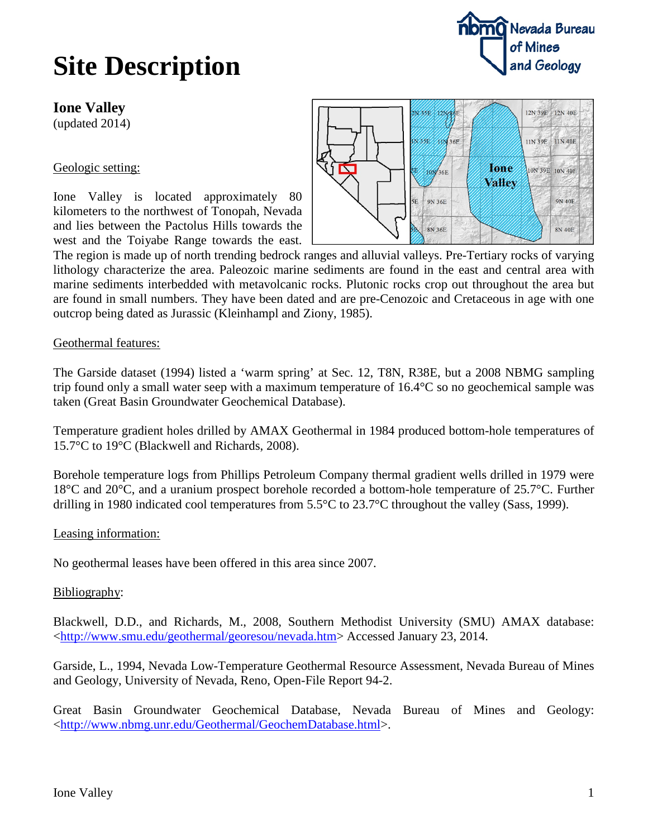## **Site Description**

**Ione Valley**

(updated 2014)

### Geologic setting:

Ione Valley is located approximately 80 kilometers to the northwest of Tonopah, Nevada and lies between the Pactolus Hills towards the west and the Toiyabe Range towards the east.



The region is made up of north trending bedrock ranges and alluvial valleys. Pre-Tertiary rocks of varying lithology characterize the area. Paleozoic marine sediments are found in the east and central area with marine sediments interbedded with metavolcanic rocks. Plutonic rocks crop out throughout the area but are found in small numbers. They have been dated and are pre-Cenozoic and Cretaceous in age with one outcrop being dated as Jurassic (Kleinhampl and Ziony, 1985).

#### Geothermal features:

The Garside dataset (1994) listed a 'warm spring' at Sec. 12, T8N, R38E, but a 2008 NBMG sampling trip found only a small water seep with a maximum temperature of 16.4°C so no geochemical sample was taken (Great Basin Groundwater Geochemical Database).

Temperature gradient holes drilled by AMAX Geothermal in 1984 produced bottom-hole temperatures of 15.7°C to 19°C (Blackwell and Richards, 2008).

Borehole temperature logs from Phillips Petroleum Company thermal gradient wells drilled in 1979 were 18°C and 20°C, and a uranium prospect borehole recorded a bottom-hole temperature of 25.7°C. Further drilling in 1980 indicated cool temperatures from 5.5°C to 23.7°C throughout the valley (Sass, 1999).

#### Leasing information:

No geothermal leases have been offered in this area since 2007.

#### Bibliography:

Blackwell, D.D., and Richards, M., 2008, Southern Methodist University (SMU) AMAX database: [<http://www.smu.edu/geothermal/georesou/nevada.htm>](http://www.smu.edu/geothermal/georesou/nevada.htm) Accessed January 23, 2014.

Garside, L., 1994, Nevada Low-Temperature Geothermal Resource Assessment, Nevada Bureau of Mines and Geology, University of Nevada, Reno, Open-File Report 94-2.

Great Basin Groundwater Geochemical Database, Nevada Bureau of Mines and Geology: [<http://www.nbmg.unr.edu/Geothermal/GeochemDatabase.html>](http://www.nbmg.unr.edu/Geothermal/GeochemDatabase.html).